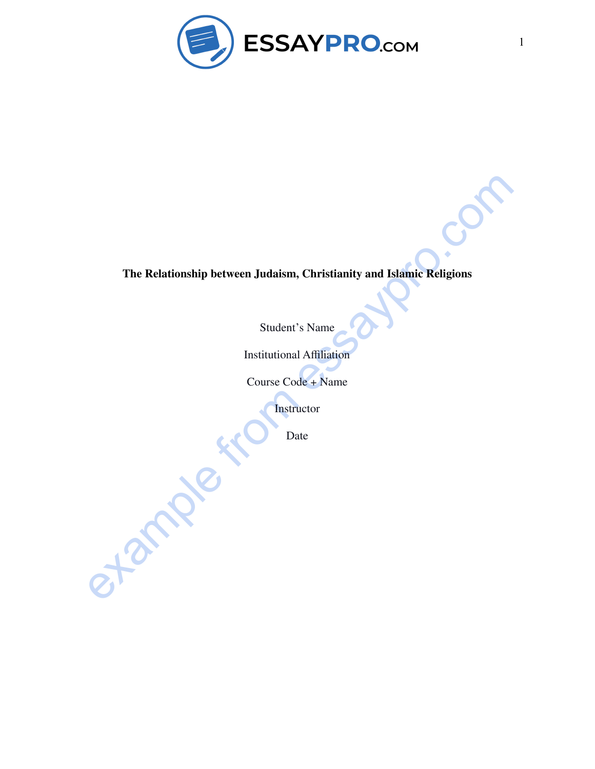

# **The Relationship between Judaism, Christianity and Islamic Religions**

Student's Name

Institutional Affiliation

Course Code + Name

**Instructor** 

Date

example from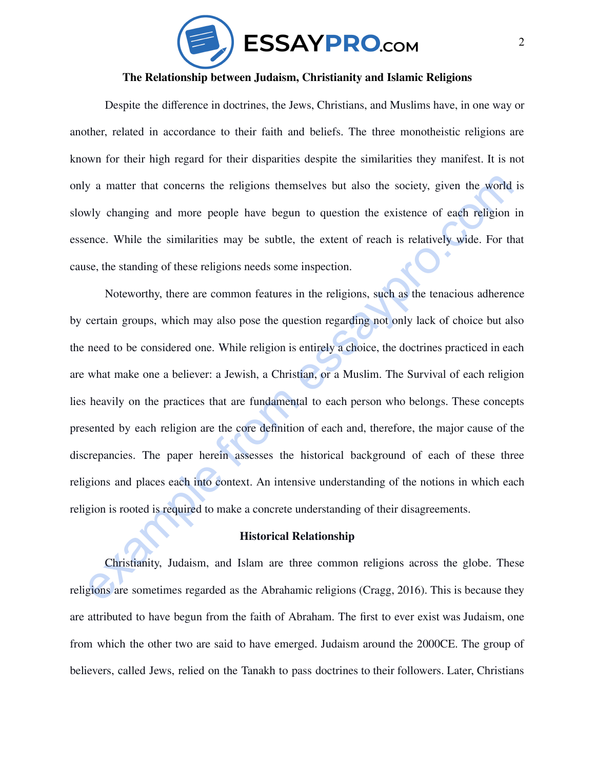

### **The Relationship between Judaism, Christianity and Islamic Religions**

Despite the difference in doctrines, the Jews, Christians, and Muslims have, in one way or another, related in accordance to their faith and beliefs. The three monotheistic religions are known for their high regard for their disparities despite the similarities they manifest. It is not only a matter that concerns the religions themselves but also the society, given the world is slowly changing and more people have begun to question the existence of each religion in essence. While the similarities may be subtle, the extent of reach is relatively wide. For that cause, the standing of these religions needs some inspection.

y a matter that concerns the religions themselves but also the society, given the world is<br>why changing and more people have begun to question the existence of each religion in<br>ence. While the similarities may be subtle, t Noteworthy, there are common features in the religions, such as the tenacious adherence by certain groups, which may also pose the question regarding not only lack of choice but also the need to be considered one. While religion is entirely a choice, the doctrines practiced in each are what make one a believer: a Jewish, a Christian, or a Muslim. The Survival of each religion lies heavily on the practices that are fundamental to each person who belongs. These concepts presented by each religion are the core definition of each and, therefore, the major cause of the discrepancies. The paper herein assesses the historical background of each of these three religions and places each into context. An intensive understanding of the notions in which each religion is rooted is required to make a concrete understanding of their disagreements.

### **Historical Relationship**

Christianity, Judaism, and Islam are three common religions across the globe. These religions are sometimes regarded as the Abrahamic religions (Cragg, 2016). This is because they are attributed to have begun from the faith of Abraham. The first to ever exist was Judaism, one from which the other two are said to have emerged. Judaism around the 2000CE. The group of believers, called Jews, relied on the Tanakh to pass doctrines to their followers. Later, Christians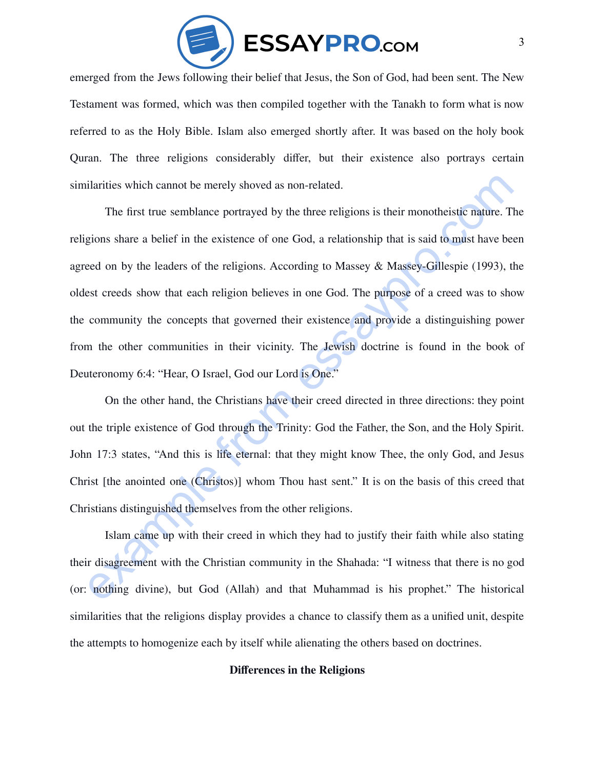

emerged from the Jews following their belief that Jesus, the Son of God, had been sent. The New Testament was formed, which was then compiled together with the Tanakh to form what is now referred to as the Holy Bible. Islam also emerged shortly after. It was based on the holy book Quran. The three religions considerably differ, but their existence also portrays certain similarities which cannot be merely shoved as non-related.

ilarities which cannot be merely showed as non-related.<br>The first true semblance portrayed by the three religions is their monotheistic nature. The<br>gions share a belief in the existence of one God, a relationship that is s The first true semblance portrayed by the three religions is their monotheistic nature. The religions share a belief in the existence of one God, a relationship that is said to must have been agreed on by the leaders of the religions. According to Massey & Massey-Gillespie (1993), the oldest creeds show that each religion believes in one God. The purpose of a creed was to show the community the concepts that governed their existence and provide a distinguishing power from the other communities in their vicinity. The Jewish doctrine is found in the book of Deuteronomy 6:4: "Hear, O Israel, God our Lord is One."

On the other hand, the Christians have their creed directed in three directions: they point out the triple existence of God through the Trinity: God the Father, the Son, and the Holy Spirit. John 17:3 states, "And this is life eternal: that they might know Thee, the only God, and Jesus Christ [the anointed one (Christos)] whom Thou hast sent." It is on the basis of this creed that Christians distinguished themselves from the other religions.

Islam came up with their creed in which they had to justify their faith while also stating their disagreement with the Christian community in the Shahada: "I witness that there is no god (or: nothing divine), but God (Allah) and that Muhammad is his prophet." The historical similarities that the religions display provides a chance to classify them as a unified unit, despite the attempts to homogenize each by itself while alienating the others based on doctrines.

### **Differences in the Religions**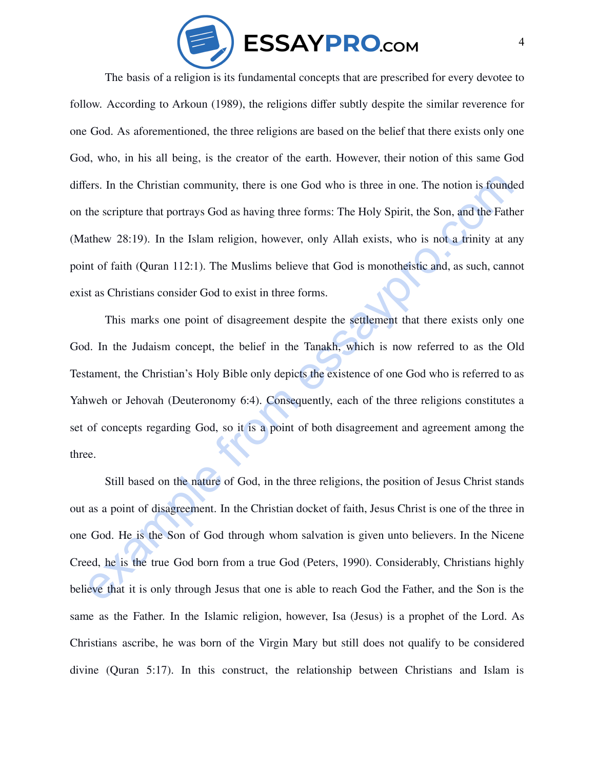

The basis of a religion is its fundamental concepts that are prescribed for every devotee to follow. According to Arkoun (1989), the religions differ subtly despite the similar reverence for one God. As aforementioned, the three religions are based on the belief that there exists only one God, who, in his all being, is the creator of the earth. However, their notion of this same God differs. In the Christian community, there is one God who is three in one. The notion is founded on the scripture that portrays God as having three forms: The Holy Spirit, the Son, and the Father (Mathew 28:19). In the Islam religion, however, only Allah exists, who is not a trinity at any point of faith (Quran 112:1). The Muslims believe that God is monotheistic and, as such, cannot exist as Christians consider God to exist in three forms.

iers. In the Christian community, there is one God who is three in one. The notion is founded<br>the scripture that portrays God as having three forms: The Holy Spirit, the Son, and the Father<br>athew 28:19). In the Islam relig This marks one point of disagreement despite the settlement that there exists only one God. In the Judaism concept, the belief in the Tanakh, which is now referred to as the Old Testament, the Christian's Holy Bible only depicts the existence of one God who is referred to as Yahweh or Jehovah (Deuteronomy 6:4). Consequently, each of the three religions constitutes a set of concepts regarding God, so it is a point of both disagreement and agreement among the three.

Still based on the nature of God, in the three religions, the position of Jesus Christ stands out as a point of disagreement. In the Christian docket of faith, Jesus Christ is one of the three in one God. He is the Son of God through whom salvation is given unto believers. In the Nicene Creed, he is the true God born from a true God (Peters, 1990). Considerably, Christians highly believe that it is only through Jesus that one is able to reach God the Father, and the Son is the same as the Father. In the Islamic religion, however, Isa (Jesus) is a prophet of the Lord. As Christians ascribe, he was born of the Virgin Mary but still does not qualify to be considered divine (Quran 5:17). In this construct, the relationship between Christians and Islam is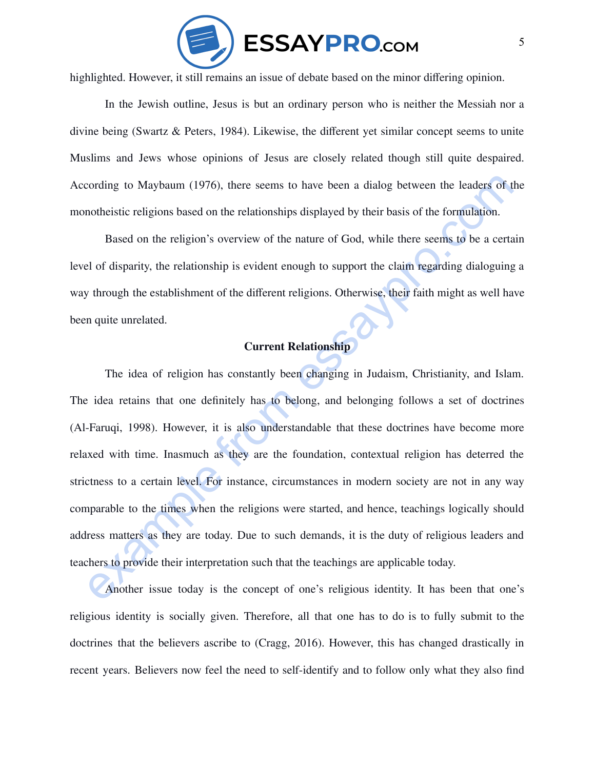

highlighted. However, it still remains an issue of debate based on the minor differing opinion.

In the Jewish outline, Jesus is but an ordinary person who is neither the Messiah nor a divine being (Swartz & Peters, 1984). Likewise, the different yet similar concept seems to unite Muslims and Jews whose opinions of Jesus are closely related though still quite despaired. According to Maybaum (1976), there seems to have been a dialog between the leaders of the monotheistic religions based on the relationships displayed by their basis of the formulation.

Based on the religion's overview of the nature of God, while there seems to be a certain level of disparity, the relationship is evident enough to support the claim regarding dialoguing a way through the establishment of the different religions. Otherwise, their faith might as well have been quite unrelated.

## **Current Relationship**

cording to Maybaum (1976), there seems to have been a dialog between the leaders of the nonbeistic religions based on the relationships displayed by their basis of the formulation.<br>
Based on the religion's overview of the The idea of religion has constantly been changing in Judaism, Christianity, and Islam. The idea retains that one definitely has to belong, and belonging follows a set of doctrines (Al-Faruqi, 1998). However, it is also understandable that these doctrines have become more relaxed with time. Inasmuch as they are the foundation, contextual religion has deterred the strictness to a certain level. For instance, circumstances in modern society are not in any way comparable to the times when the religions were started, and hence, teachings logically should address matters as they are today. Due to such demands, it is the duty of religious leaders and teachers to provide their interpretation such that the teachings are applicable today.

Another issue today is the concept of one's religious identity. It has been that one's religious identity is socially given. Therefore, all that one has to do is to fully submit to the doctrines that the believers ascribe to (Cragg, 2016). However, this has changed drastically in recent years. Believers now feel the need to self-identify and to follow only what they also find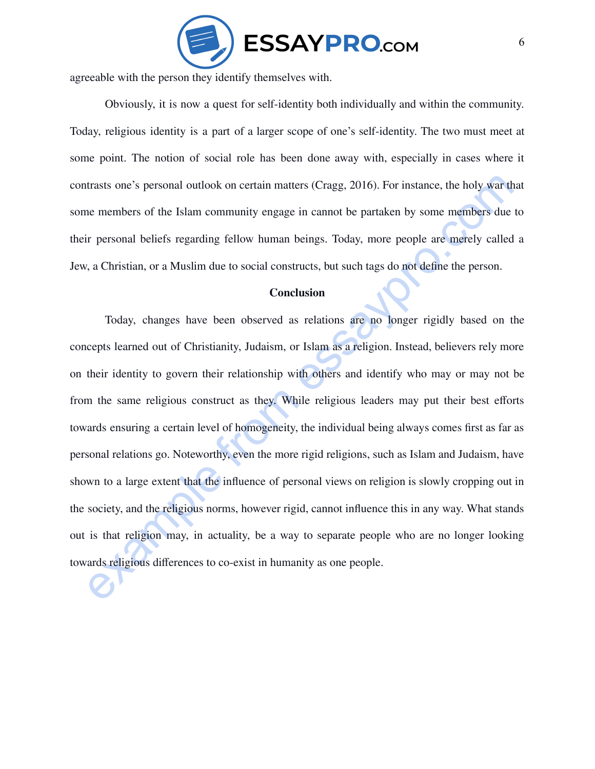

agreeable with the person they identify themselves with.

Obviously, it is now a quest for self-identity both individually and within the community. Today, religious identity is a part of a larger scope of one's self-identity. The two must meet at some point. The notion of social role has been done away with, especially in cases where it contrasts one's personal outlook on certain matters (Cragg, 2016). For instance, the holy war that some members of the Islam community engage in cannot be partaken by some members due to their personal beliefs regarding fellow human beings. Today, more people are merely called a Jew, a Christian, or a Muslim due to social constructs, but such tags do not define the person.

#### **Conclusion**

trasts one's personal outlook on certain matters (Cragg, 2016). For instance, the holy war that<br>the members of the Islam community engage in cannot be partaken by some members due to<br>ir personal beliefs regarding fellow hu Today, changes have been observed as relations are no longer rigidly based on the concepts learned out of Christianity, Judaism, or Islam as a religion. Instead, believers rely more on their identity to govern their relationship with others and identify who may or may not be from the same religious construct as they. While religious leaders may put their best efforts towards ensuring a certain level of homogeneity, the individual being always comes first as far as personal relations go. Noteworthy, even the more rigid religions, such as Islam and Judaism, have shown to a large extent that the influence of personal views on religion is slowly cropping out in the society, and the religious norms, however rigid, cannot influence this in any way. What stands out is that religion may, in actuality, be a way to separate people who are no longer looking towards religious differences to co-exist in humanity as one people.